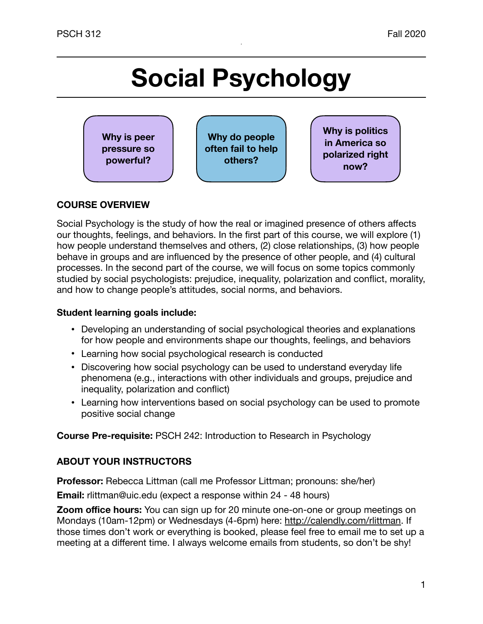# **Social Psychology**



## **COURSE OVERVIEW**

Social Psychology is the study of how the real or imagined presence of others affects our thoughts, feelings, and behaviors. In the first part of this course, we will explore (1) how people understand themselves and others, (2) close relationships, (3) how people behave in groups and are influenced by the presence of other people, and (4) cultural processes. In the second part of the course, we will focus on some topics commonly studied by social psychologists: prejudice, inequality, polarization and conflict, morality, and how to change people's attitudes, social norms, and behaviors.

#### **Student learning goals include:**

- Developing an understanding of social psychological theories and explanations for how people and environments shape our thoughts, feelings, and behaviors
- Learning how social psychological research is conducted
- Discovering how social psychology can be used to understand everyday life phenomena (e.g., interactions with other individuals and groups, prejudice and inequality, polarization and conflict)
- Learning how interventions based on social psychology can be used to promote positive social change

**Course Pre-requisite:** PSCH 242: Introduction to Research in Psychology

# **ABOUT YOUR INSTRUCTORS**

**Professor:** Rebecca Littman (call me Professor Littman; pronouns: she/her)

**Email:** [rlittman@uic.edu](mailto:rlittman@uic.edu) (expect a response within 24 - 48 hours)

**Zoom office hours:** You can sign up for 20 minute one-on-one or group meetings on Mondays (10am-12pm) or Wednesdays (4-6pm) here: <http://calendly.com/rlittman>. If those times don't work or everything is booked, please feel free to email me to set up a meeting at a different time. I always welcome emails from students, so don't be shy!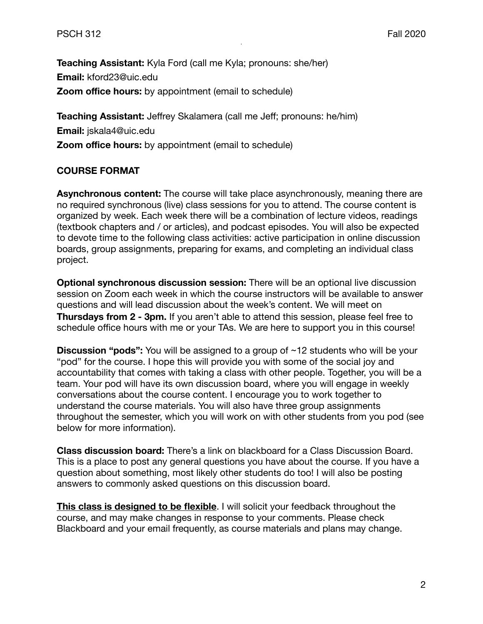**Teaching Assistant:** Kyla Ford (call me Kyla; pronouns: she/her) **Email:** kford23@uic.edu **Zoom office hours:** by appointment (email to schedule)

**Teaching Assistant:** Jeffrey Skalamera (call me Jeff; pronouns: he/him) **Email:** [jskala4@uic.edu](mailto:jskala4@uic.edu) **Zoom office hours:** by appointment (email to schedule)

#### **COURSE FORMAT**

**Asynchronous content:** The course will take place asynchronously, meaning there are no required synchronous (live) class sessions for you to attend. The course content is organized by week. Each week there will be a combination of lecture videos, readings (textbook chapters and / or articles), and podcast episodes. You will also be expected to devote time to the following class activities: active participation in online discussion boards, group assignments, preparing for exams, and completing an individual class project.

**Optional synchronous discussion session:** There will be an optional live discussion session on Zoom each week in which the course instructors will be available to answer questions and will lead discussion about the week's content. We will meet on **Thursdays from 2 - 3pm.** If you aren't able to attend this session, please feel free to schedule office hours with me or your TAs. We are here to support you in this course!

**Discussion "pods":** You will be assigned to a group of ~12 students who will be your "pod" for the course. I hope this will provide you with some of the social joy and accountability that comes with taking a class with other people. Together, you will be a team. Your pod will have its own discussion board, where you will engage in weekly conversations about the course content. I encourage you to work together to understand the course materials. You will also have three group assignments throughout the semester, which you will work on with other students from you pod (see below for more information).

**Class discussion board:** There's a link on blackboard for a Class Discussion Board. This is a place to post any general questions you have about the course. If you have a question about something, most likely other students do too! I will also be posting answers to commonly asked questions on this discussion board.

**This class is designed to be flexible**. I will solicit your feedback throughout the course, and may make changes in response to your comments. Please check Blackboard and your email frequently, as course materials and plans may change.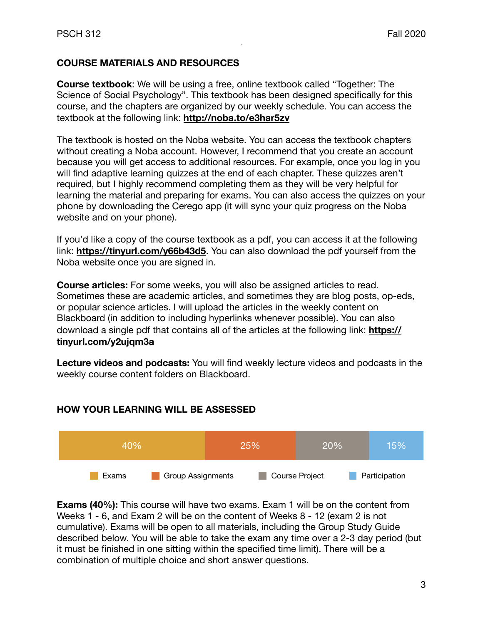## **COURSE MATERIALS AND RESOURCES**

**Course textbook**: We will be using a free, online textbook called "Together: The Science of Social Psychology". This textbook has been designed specifically for this course, and the chapters are organized by our weekly schedule. You can access the textbook at the following link: **<http://noba.to/e3har5zv>**

The textbook is hosted on the Noba website. You can access the textbook chapters without creating a Noba account. However, I recommend that you create an account because you will get access to additional resources. For example, once you log in you will find adaptive learning quizzes at the end of each chapter. These quizzes aren't required, but I highly recommend completing them as they will be very helpful for learning the material and preparing for exams. You can also access the quizzes on your phone by downloading the Cerego app (it will sync your quiz progress on the Noba website and on your phone).

If you'd like a copy of the course textbook as a pdf, you can access it at the following link: **<https://tinyurl.com/y66b43d5>**. You can also download the pdf yourself from the Noba website once you are signed in.

**Course articles:** For some weeks, you will also be assigned articles to read. Sometimes these are academic articles, and sometimes they are blog posts, op-eds, or popular science articles. I will upload the articles in the weekly content on Blackboard (in addition to including hyperlinks whenever possible). You can also download a single pdf that contains all of the articles at the following link: **[https://](https://tinyurl.com/y2ujqm3a) [tinyurl.com/y2ujqm3a](https://tinyurl.com/y2ujqm3a)**

**Lecture videos and podcasts:** You will find weekly lecture videos and podcasts in the weekly course content folders on Blackboard.





**Exams (40%):** This course will have two exams. Exam 1 will be on the content from Weeks 1 - 6, and Exam 2 will be on the content of Weeks 8 - 12 (exam 2 is not cumulative). Exams will be open to all materials, including the Group Study Guide described below. You will be able to take the exam any time over a 2-3 day period (but it must be finished in one sitting within the specified time limit). There will be a combination of multiple choice and short answer questions.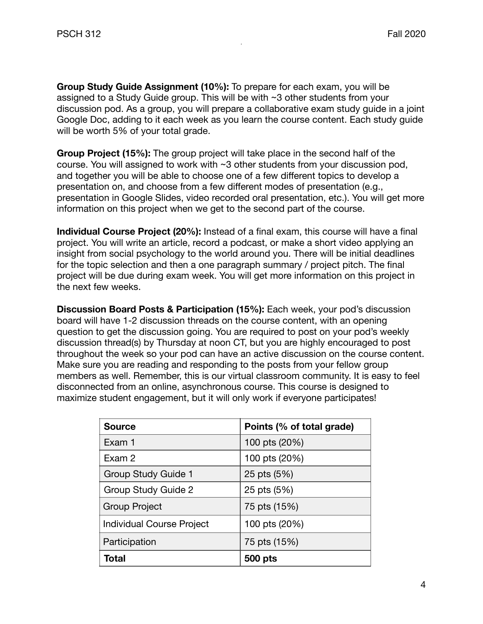**Group Study Guide Assignment (10%):** To prepare for each exam, you will be assigned to a Study Guide group. This will be with ~3 other students from your discussion pod. As a group, you will prepare a collaborative exam study guide in a joint Google Doc, adding to it each week as you learn the course content. Each study guide will be worth 5% of your total grade.

**Group Project (15%):** The group project will take place in the second half of the course. You will assigned to work with ~3 other students from your discussion pod, and together you will be able to choose one of a few different topics to develop a presentation on, and choose from a few different modes of presentation (e.g., presentation in Google Slides, video recorded oral presentation, etc.). You will get more information on this project when we get to the second part of the course.

**Individual Course Project (20%):** Instead of a final exam, this course will have a final project. You will write an article, record a podcast, or make a short video applying an insight from social psychology to the world around you. There will be initial deadlines for the topic selection and then a one paragraph summary / project pitch. The final project will be due during exam week. You will get more information on this project in the next few weeks.

**Discussion Board Posts & Participation (15%):** Each week, your pod's discussion board will have 1-2 discussion threads on the course content, with an opening question to get the discussion going. You are required to post on your pod's weekly discussion thread(s) by Thursday at noon CT, but you are highly encouraged to post throughout the week so your pod can have an active discussion on the course content. Make sure you are reading and responding to the posts from your fellow group members as well. Remember, this is our virtual classroom community. It is easy to feel disconnected from an online, asynchronous course. This course is designed to maximize student engagement, but it will only work if everyone participates!

| <b>Source</b>                    | Points (% of total grade) |
|----------------------------------|---------------------------|
| Exam 1                           | 100 pts (20%)             |
| Exam 2                           | 100 pts (20%)             |
| <b>Group Study Guide 1</b>       | 25 pts (5%)               |
| <b>Group Study Guide 2</b>       | 25 pts (5%)               |
| <b>Group Project</b>             | 75 pts (15%)              |
| <b>Individual Course Project</b> | 100 pts (20%)             |
| Participation                    | 75 pts (15%)              |
| Total                            | 500 pts                   |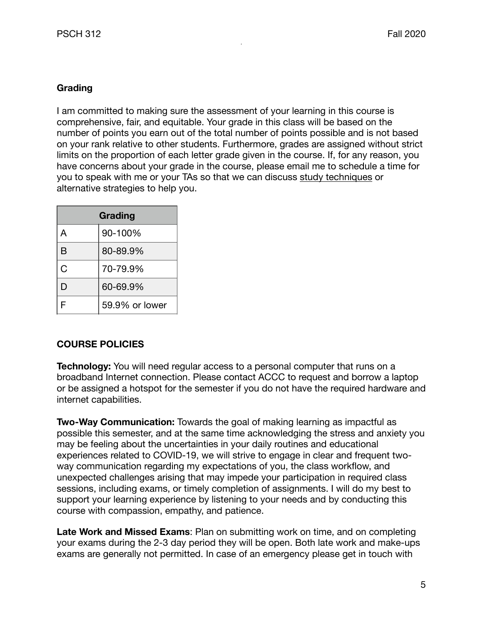#### **Grading**

I am committed to making sure the assessment of your learning in this course is comprehensive, fair, and equitable. Your grade in this class will be based on the number of points you earn out of the total number of points possible and is not based on your rank relative to other students. Furthermore, grades are assigned without strict limits on the proportion of each letter grade given in the course. If, for any reason, you have concerns about your grade in the course, please email me to schedule a time for you to speak with me or your TAs so that we can discuss [study techniques](https://drive.google.com/file/d/1n-K38PaL2wyd185QBYK-3KYH7qMPHDLi/view?usp=sharing) or alternative strategies to help you.

| Grading |                |  |
|---------|----------------|--|
| A       | 90-100%        |  |
| B       | 80-89.9%       |  |
| Ć       | 70-79.9%       |  |
| D       | 60-69.9%       |  |
| F       | 59.9% or lower |  |

## **COURSE POLICIES**

**Technology:** You will need regular access to a personal computer that runs on a broadband Internet connection. Please contact ACCC to request and borrow a laptop or be assigned a hotspot for the semester if you do not have the required hardware and internet capabilities.

**Two-Way Communication:** Towards the goal of making learning as impactful as possible this semester, and at the same time acknowledging the stress and anxiety you may be feeling about the uncertainties in your daily routines and educational experiences related to COVID-19, we will strive to engage in clear and frequent twoway communication regarding my expectations of you, the class workflow, and unexpected challenges arising that may impede your participation in required class sessions, including exams, or timely completion of assignments. I will do my best to support your learning experience by listening to your needs and by conducting this course with compassion, empathy, and patience.

**Late Work and Missed Exams**: Plan on submitting work on time, and on completing your exams during the 2-3 day period they will be open. Both late work and make-ups exams are generally not permitted. In case of an emergency please get in touch with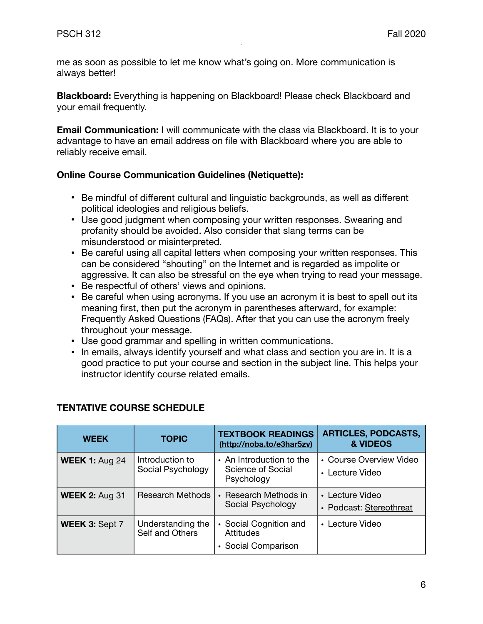me as soon as possible to let me know what's going on. More communication is always better!

**Blackboard:** Everything is happening on Blackboard! Please check Blackboard and your email frequently.

**Email Communication:** I will communicate with the class via Blackboard. It is to your advantage to have an email address on file with Blackboard where you are able to reliably receive email.

#### **Online Course Communication Guidelines (Netiquette):**

- Be mindful of different cultural and linguistic backgrounds, as well as different political ideologies and religious beliefs.
- Use good judgment when composing your written responses. Swearing and profanity should be avoided. Also consider that slang terms can be misunderstood or misinterpreted.
- Be careful using all capital letters when composing your written responses. This can be considered "shouting" on the Internet and is regarded as impolite or aggressive. It can also be stressful on the eye when trying to read your message.
- Be respectful of others' views and opinions.
- Be careful when using acronyms. If you use an acronym it is best to spell out its meaning first, then put the acronym in parentheses afterward, for example: Frequently Asked Questions (FAQs). After that you can use the acronym freely throughout your message.
- Use good grammar and spelling in written communications.
- In emails, always identify yourself and what class and section you are in. It is a good practice to put your course and section in the subject line. This helps your instructor identify course related emails.

| <b>WEEK</b>           | <b>TOPIC</b>                         | <b>TEXTBOOK READINGS</b><br>(http://noba.to/e3har5zv)             | <b>ARTICLES, PODCASTS,</b><br>& VIDEOS                |
|-----------------------|--------------------------------------|-------------------------------------------------------------------|-------------------------------------------------------|
| <b>WEEK 1: Aug 24</b> | Introduction to<br>Social Psychology | • An Introduction to the<br>Science of Social<br>Psychology       | • Course Overview Video<br>Lecture Video<br>$\bullet$ |
| <b>WEEK 2: Aug 31</b> | <b>Research Methods</b>              | • Research Methods in<br>Social Psychology                        | • Lecture Video<br>• Podcast: Stereothreat            |
| WEEK 3: Sept 7        | Understanding the<br>Self and Others | • Social Cognition and<br><b>Attitudes</b><br>• Social Comparison | • Lecture Video                                       |

## **TENTATIVE COURSE SCHEDULE**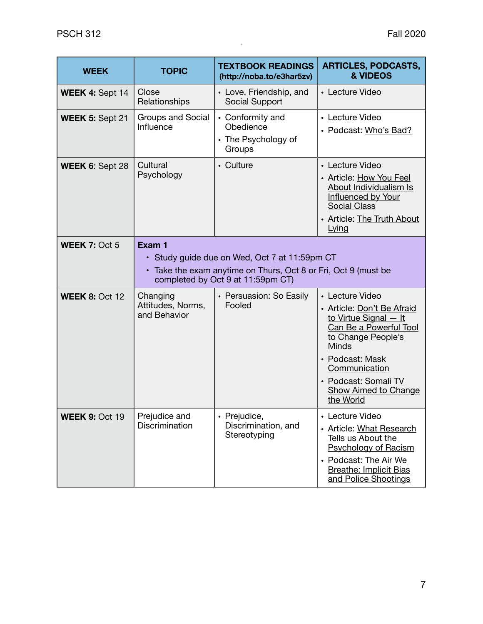| <b>WEEK</b>           | <b>TOPIC</b>                                                                                                                                                   | <b>TEXTBOOK READINGS</b><br>(http://noba.to/e3har5zv)          | <b>ARTICLES, PODCASTS,</b><br>& VIDEOS                                                                                                                                                                                                  |
|-----------------------|----------------------------------------------------------------------------------------------------------------------------------------------------------------|----------------------------------------------------------------|-----------------------------------------------------------------------------------------------------------------------------------------------------------------------------------------------------------------------------------------|
| WEEK 4: Sept 14       | Close<br>Relationships                                                                                                                                         | • Love, Friendship, and<br>Social Support                      | • Lecture Video                                                                                                                                                                                                                         |
| WEEK 5: Sept 21       | Groups and Social<br>Influence                                                                                                                                 | • Conformity and<br>Obedience<br>• The Psychology of<br>Groups | • Lecture Video<br>• Podcast: Who's Bad?                                                                                                                                                                                                |
| WEEK 6: Sept 28       | Cultural<br>Psychology                                                                                                                                         | • Culture                                                      | • Lecture Video<br>• Article: How You Feel<br>About Individualism Is<br>Influenced by Your<br><b>Social Class</b><br>• Article: The Truth About<br>Lying                                                                                |
| <b>WEEK 7: Oct 5</b>  | Exam 1<br>• Study guide due on Wed, Oct 7 at 11:59pm CT<br>• Take the exam anytime on Thurs, Oct 8 or Fri, Oct 9 (must be<br>completed by Oct 9 at 11:59pm CT) |                                                                |                                                                                                                                                                                                                                         |
| <b>WEEK 8: Oct 12</b> | Changing<br>Attitudes, Norms,<br>and Behavior                                                                                                                  | • Persuasion: So Easily<br>Fooled                              | • Lecture Video<br>• Article: Don't Be Afraid<br>to Virtue Signal - It<br>Can Be a Powerful Tool<br>to Change People's<br>Minds<br>• Podcast: Mask<br>Communication<br>• Podcast: Somali TV<br><b>Show Aimed to Change</b><br>the World |
| <b>WEEK 9: Oct 19</b> | Prejudice and<br>Discrimination                                                                                                                                | • Prejudice,<br>Discrimination, and<br>Stereotyping            | • Lecture Video<br>• Article: What Research<br>Tells us About the<br><b>Psychology of Racism</b><br>• Podcast: The Air We<br><b>Breathe: Implicit Bias</b><br>and Police Shootings                                                      |

 $\sim 10^{-11}$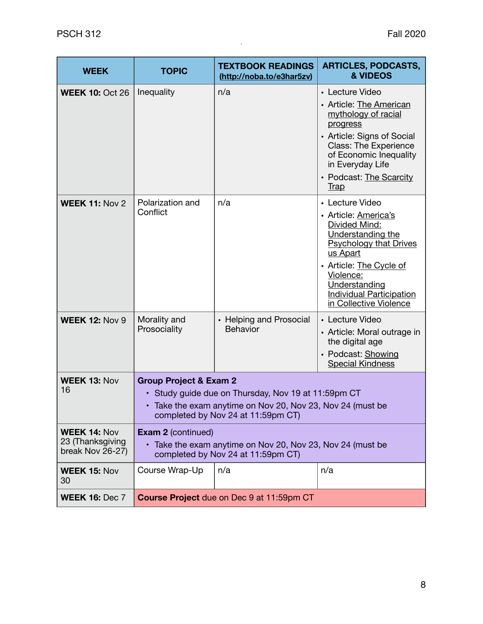| <b>WEEK</b>                                                 | <b>TOPIC</b>                                                                                                                                                                                 | <b>TEXTBOOK READINGS</b><br>(http://noba.to/e3har5zv) | <b>ARTICLES, PODCASTS,</b><br>& VIDEOS                                                                                                                                                                                                           |
|-------------------------------------------------------------|----------------------------------------------------------------------------------------------------------------------------------------------------------------------------------------------|-------------------------------------------------------|--------------------------------------------------------------------------------------------------------------------------------------------------------------------------------------------------------------------------------------------------|
| <b>WEEK 10: Oct 26</b>                                      | Inequality                                                                                                                                                                                   | n/a                                                   | • Lecture Video<br>• Article: The American<br>mythology of racial<br>progress<br>• Article: Signs of Social<br><b>Class: The Experience</b><br>of Economic Inequality<br>in Everyday Life<br>• Podcast: The Scarcity<br><u>Trap</u>              |
| <b>WEEK 11: Nov 2</b>                                       | Polarization and<br>Conflict                                                                                                                                                                 | n/a                                                   | • Lecture Video<br>· Article: America's<br>Divided Mind:<br>Understanding the<br><b>Psychology that Drives</b><br>us Apart<br>• Article: The Cycle of<br>Violence:<br>Understanding<br><b>Individual Participation</b><br>in Collective Violence |
| <b>WEEK 12: Nov 9</b>                                       | Morality and<br>Prosociality                                                                                                                                                                 | • Helping and Prosocial<br><b>Behavior</b>            | • Lecture Video<br>• Article: Moral outrage in<br>the digital age<br>• Podcast: Showing<br><b>Special Kindness</b>                                                                                                                               |
| <b>WEEK 13: Nov</b><br>16                                   | <b>Group Project &amp; Exam 2</b><br>· Study guide due on Thursday, Nov 19 at 11:59pm CT<br>• Take the exam anytime on Nov 20, Nov 23, Nov 24 (must be<br>completed by Nov 24 at 11:59pm CT) |                                                       |                                                                                                                                                                                                                                                  |
| <b>WEEK 14: Nov</b><br>23 (Thanksgiving<br>break Nov 26-27) | <b>Exam 2 (continued)</b><br>• Take the exam anytime on Nov 20, Nov 23, Nov 24 (must be<br>completed by Nov 24 at 11:59pm CT)                                                                |                                                       |                                                                                                                                                                                                                                                  |
| <b>WEEK 15: Nov</b><br>30                                   | Course Wrap-Up                                                                                                                                                                               | n/a                                                   | n/a                                                                                                                                                                                                                                              |
| <b>WEEK 16: Dec 7</b>                                       | Course Project due on Dec 9 at 11:59pm CT                                                                                                                                                    |                                                       |                                                                                                                                                                                                                                                  |

 $\mathbf{r}$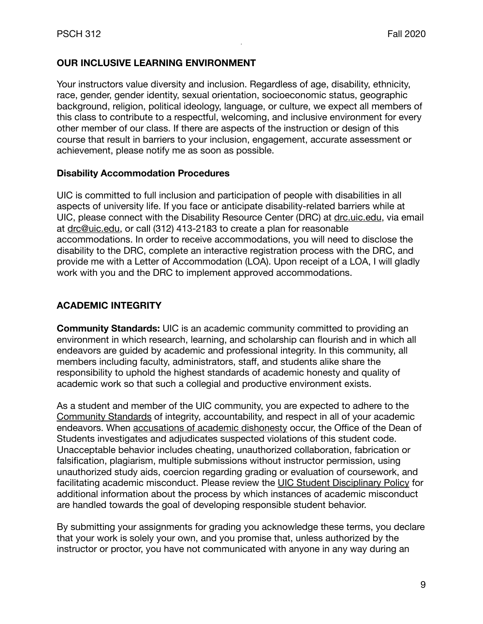## **OUR INCLUSIVE LEARNING ENVIRONMENT**

Your instructors value diversity and inclusion. Regardless of age, disability, ethnicity, race, gender, gender identity, sexual orientation, socioeconomic status, geographic background, religion, political ideology, language, or culture, we expect all members of this class to contribute to a respectful, welcoming, and inclusive environment for every other member of our class. If there are aspects of the instruction or design of this course that result in barriers to your inclusion, engagement, accurate assessment or achievement, please notify me as soon as possible.

#### **Disability Accommodation Procedures**

UIC is committed to full inclusion and participation of people with disabilities in all aspects of university life. If you face or anticipate disability-related barriers while at UIC, please connect with the Disability Resource Center (DRC) at [drc.uic.edu,](https://drc.uic.edu/) via email at [drc@uic.edu,](mailto:drc@uic.edu) or call (312) 413-2183 to create a plan for reasonable accommodations. In order to receive accommodations, you will need to disclose the disability to the DRC, complete an interactive registration process with the DRC, and provide me with a Letter of Accommodation (LOA). Upon receipt of a LOA, I will gladly work with you and the DRC to implement approved accommodations.

# **ACADEMIC INTEGRITY**

**Community Standards:** UIC is an academic community committed to providing an environment in which research, learning, and scholarship can flourish and in which all endeavors are guided by academic and professional integrity. In this community, all members including faculty, administrators, staff, and students alike share the responsibility to uphold the highest standards of academic honesty and quality of academic work so that such a collegial and productive environment exists.

As a student and member of the UIC community, you are expected to adhere to the [Community Standards](https://dos.uic.edu/community-standards/) of integrity, accountability, and respect in all of your academic endeavors. When [accusations of academic dishonesty](https://dos.uic.edu/community-standards/academic-integrity/) occur, the Office of the Dean of Students investigates and adjudicates suspected violations of this student code. Unacceptable behavior includes cheating, unauthorized collaboration, fabrication or falsification, plagiarism, multiple submissions without instructor permission, using unauthorized study aids, coercion regarding grading or evaluation of coursework, and facilitating academic misconduct. Please review the [UIC Student Disciplinary Policy](https://dos.uic.edu/wp-content/uploads/sites/262/2018/10/DOS-Student-Disciplinary-Policy-2018-2019-FINAL.pdf) for additional information about the process by which instances of academic misconduct are handled towards the goal of developing responsible student behavior.

By submitting your assignments for grading you acknowledge these terms, you declare that your work is solely your own, and you promise that, unless authorized by the instructor or proctor, you have not communicated with anyone in any way during an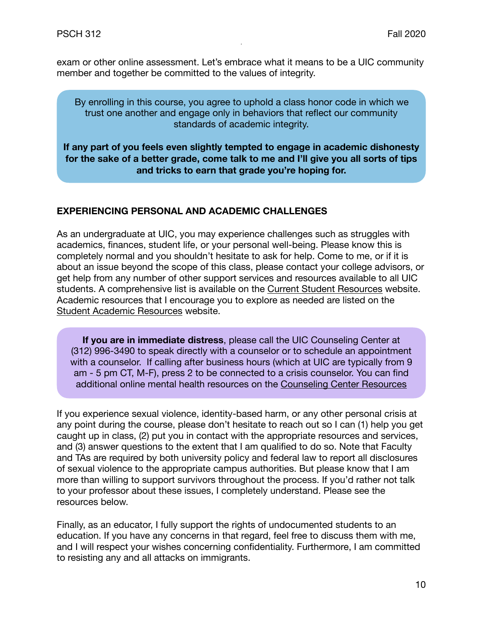exam or other online assessment. Let's embrace what it means to be a UIC community member and together be committed to the values of integrity.

By enrolling in this course, you agree to uphold a class honor code in which we trust one another and engage only in behaviors that reflect our community standards of academic integrity.

**If any part of you feels even slightly tempted to engage in academic dishonesty for the sake of a better grade, come talk to me and I'll give you all sorts of tips and tricks to earn that grade you're hoping for.**

## **EXPERIENCING PERSONAL AND ACADEMIC CHALLENGES**

As an undergraduate at UIC, you may experience challenges such as struggles with academics, finances, student life, or your personal well-being. Please know this is completely normal and you shouldn't hesitate to ask for help. Come to me, or if it is about an issue beyond the scope of this class, please contact your college advisors, or get help from any number of other support services and resources available to all UIC students. A comprehensive list is available on the [Current Student Resources](https://today.uic.edu/resources/current-students) website. Academic resources that I encourage you to explore as needed are listed on the [Student Academic Resources](https://provost.uic.edu/student-resources/) website.

**If you are in immediate distress**, please call the UIC Counseling Center at (312) 996-3490 to speak directly with a counselor or to schedule an appointment with a counselor. If calling after business hours (which at UIC are typically from 9 am - 5 pm CT, M-F), press 2 to be connected to a crisis counselor. You can find additional online mental health resources on the [Counseling Center Resources](https://counseling.uic.edu/online-resources/)

If you experience sexual violence, identity-based harm, or any other personal crisis at any point during the course, please don't hesitate to reach out so I can (1) help you get caught up in class, (2) put you in contact with the appropriate resources and services, and (3) answer questions to the extent that I am qualified to do so. Note that Faculty and TAs are required by both university policy and federal law to report all disclosures of sexual violence to the appropriate campus authorities. But please know that I am more than willing to support survivors throughout the process. If you'd rather not talk to your professor about these issues, I completely understand. Please see the resources below.

Finally, as an educator, I fully support the rights of undocumented students to an education. If you have any concerns in that regard, feel free to discuss them with me, and I will respect your wishes concerning confidentiality. Furthermore, I am committed to resisting any and all attacks on immigrants.